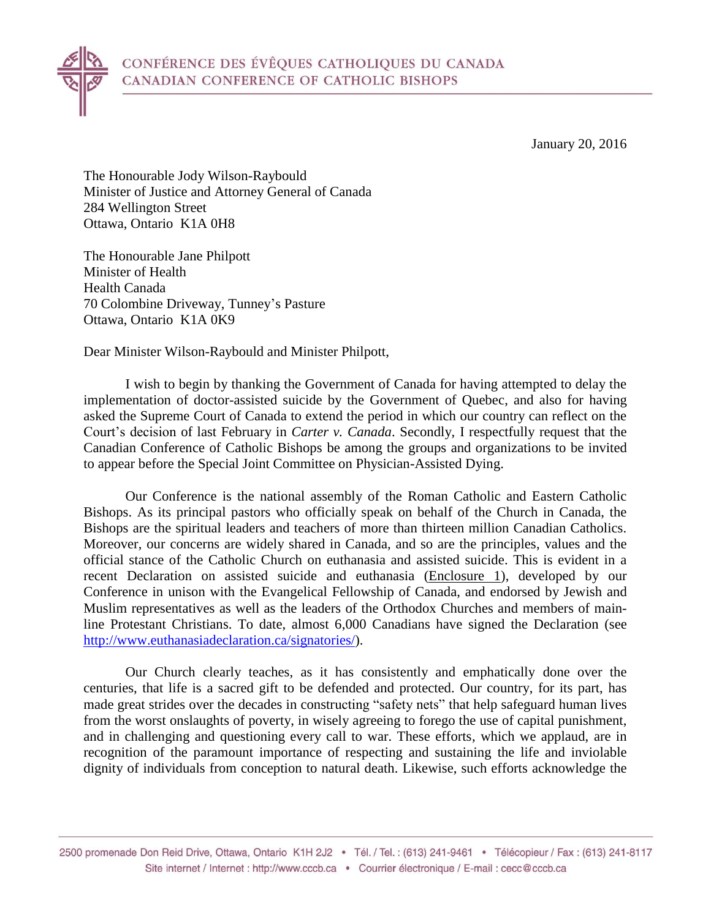

The Honourable Jody Wilson-Raybould Minister of Justice and Attorney General of Canada 284 Wellington Street Ottawa, Ontario K1A 0H8

The Honourable Jane Philpott Minister of Health Health Canada 70 Colombine Driveway, Tunney's Pasture Ottawa, Ontario K1A 0K9

Dear Minister Wilson-Raybould and Minister Philpott,

I wish to begin by thanking the Government of Canada for having attempted to delay the implementation of doctor-assisted suicide by the Government of Quebec, and also for having asked the Supreme Court of Canada to extend the period in which our country can reflect on the Court's decision of last February in *Carter v. Canada*. Secondly, I respectfully request that the Canadian Conference of Catholic Bishops be among the groups and organizations to be invited to appear before the Special Joint Committee on Physician-Assisted Dying.

Our Conference is the national assembly of the Roman Catholic and Eastern Catholic Bishops. As its principal pastors who officially speak on behalf of the Church in Canada, the Bishops are the spiritual leaders and teachers of more than thirteen million Canadian Catholics. Moreover, our concerns are widely shared in Canada, and so are the principles, values and the official stance of the Catholic Church on euthanasia and assisted suicide. This is evident in a recent Declaration on assisted suicide and euthanasia (Enclosure 1), developed by our Conference in unison with the Evangelical Fellowship of Canada, and endorsed by Jewish and Muslim representatives as well as the leaders of the Orthodox Churches and members of mainline Protestant Christians. To date, almost 6,000 Canadians have signed the Declaration (see [http://www.euthanasiadeclaration.ca/signatories/\)](http://www.euthanasiadeclaration.ca/signatories/).

Our Church clearly teaches, as it has consistently and emphatically done over the centuries, that life is a sacred gift to be defended and protected. Our country, for its part, has made great strides over the decades in constructing "safety nets" that help safeguard human lives from the worst onslaughts of poverty, in wisely agreeing to forego the use of capital punishment, and in challenging and questioning every call to war. These efforts, which we applaud, are in recognition of the paramount importance of respecting and sustaining the life and inviolable dignity of individuals from conception to natural death. Likewise, such efforts acknowledge the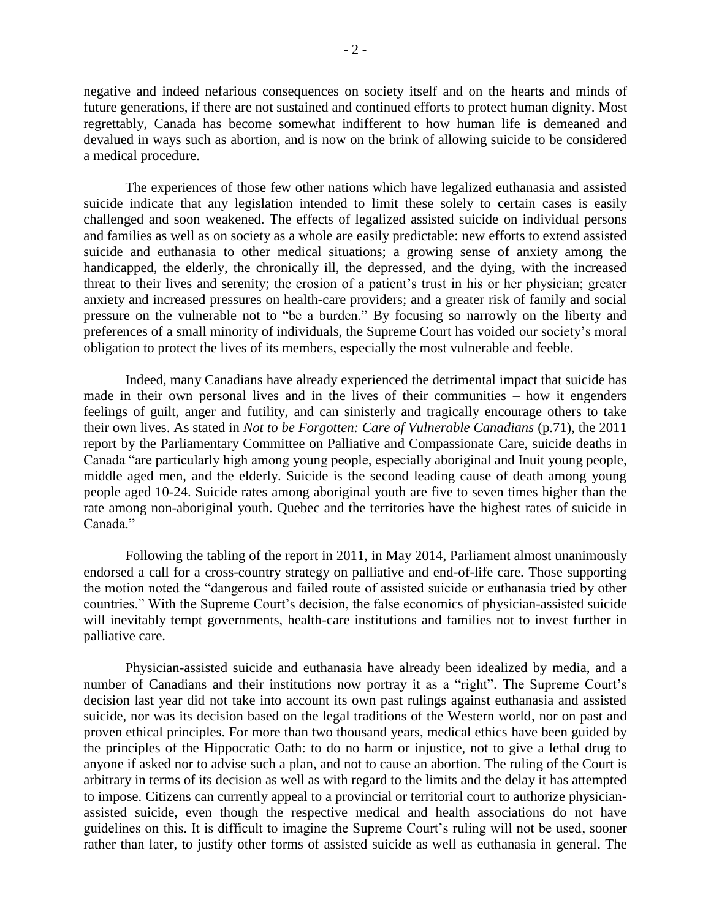negative and indeed nefarious consequences on society itself and on the hearts and minds of future generations, if there are not sustained and continued efforts to protect human dignity. Most regrettably, Canada has become somewhat indifferent to how human life is demeaned and devalued in ways such as abortion, and is now on the brink of allowing suicide to be considered a medical procedure.

The experiences of those few other nations which have legalized euthanasia and assisted suicide indicate that any legislation intended to limit these solely to certain cases is easily challenged and soon weakened. The effects of legalized assisted suicide on individual persons and families as well as on society as a whole are easily predictable: new efforts to extend assisted suicide and euthanasia to other medical situations; a growing sense of anxiety among the handicapped, the elderly, the chronically ill, the depressed, and the dying, with the increased threat to their lives and serenity; the erosion of a patient's trust in his or her physician; greater anxiety and increased pressures on health-care providers; and a greater risk of family and social pressure on the vulnerable not to "be a burden." By focusing so narrowly on the liberty and preferences of a small minority of individuals, the Supreme Court has voided our society's moral obligation to protect the lives of its members, especially the most vulnerable and feeble.

Indeed, many Canadians have already experienced the detrimental impact that suicide has made in their own personal lives and in the lives of their communities – how it engenders feelings of guilt, anger and futility, and can sinisterly and tragically encourage others to take their own lives. As stated in *Not to be Forgotten: Care of Vulnerable Canadians* (p.71), the 2011 report by the Parliamentary Committee on Palliative and Compassionate Care, suicide deaths in Canada "are particularly high among young people, especially aboriginal and Inuit young people, middle aged men, and the elderly. Suicide is the second leading cause of death among young people aged 10-24. Suicide rates among aboriginal youth are five to seven times higher than the rate among non-aboriginal youth. Quebec and the territories have the highest rates of suicide in Canada."

Following the tabling of the report in 2011, in May 2014, Parliament almost unanimously endorsed a call for a cross-country strategy on palliative and end-of-life care. Those supporting the motion noted the "dangerous and failed route of assisted suicide or euthanasia tried by other countries." With the Supreme Court's decision, the false economics of physician-assisted suicide will inevitably tempt governments, health-care institutions and families not to invest further in palliative care.

Physician-assisted suicide and euthanasia have already been idealized by media, and a number of Canadians and their institutions now portray it as a "right". The Supreme Court's decision last year did not take into account its own past rulings against euthanasia and assisted suicide, nor was its decision based on the legal traditions of the Western world, nor on past and proven ethical principles. For more than two thousand years, medical ethics have been guided by the principles of the Hippocratic Oath: to do no harm or injustice, not to give a lethal drug to anyone if asked nor to advise such a plan, and not to cause an abortion. The ruling of the Court is arbitrary in terms of its decision as well as with regard to the limits and the delay it has attempted to impose. Citizens can currently appeal to a provincial or territorial court to authorize physicianassisted suicide, even though the respective medical and health associations do not have guidelines on this. It is difficult to imagine the Supreme Court's ruling will not be used, sooner rather than later, to justify other forms of assisted suicide as well as euthanasia in general. The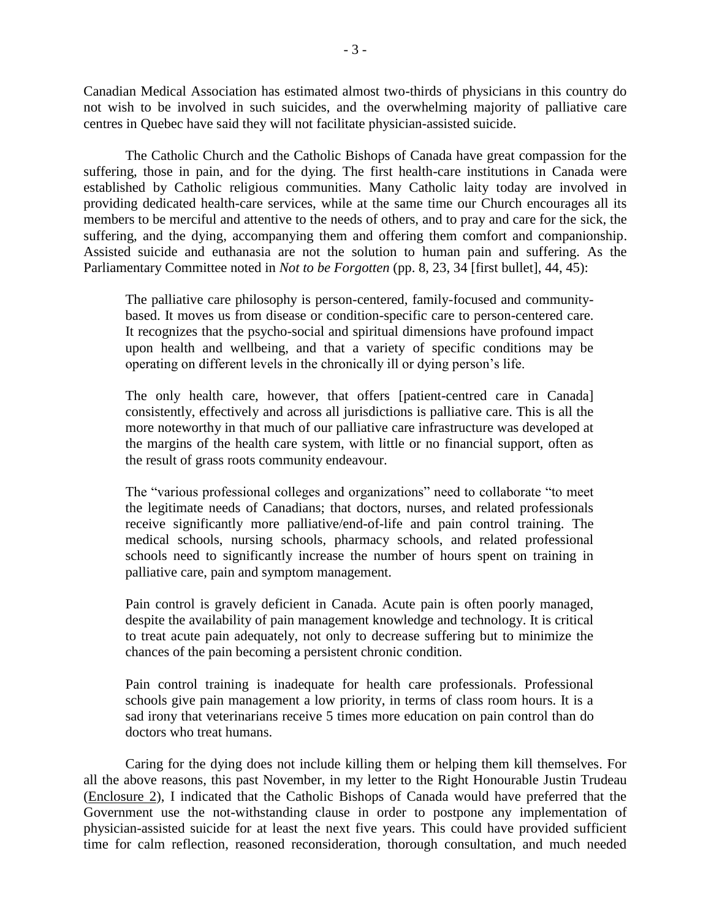Canadian Medical Association has estimated almost two-thirds of physicians in this country do not wish to be involved in such suicides, and the overwhelming majority of palliative care centres in Quebec have said they will not facilitate physician-assisted suicide.

The Catholic Church and the Catholic Bishops of Canada have great compassion for the suffering, those in pain, and for the dying. The first health-care institutions in Canada were established by Catholic religious communities. Many Catholic laity today are involved in providing dedicated health-care services, while at the same time our Church encourages all its members to be merciful and attentive to the needs of others, and to pray and care for the sick, the suffering, and the dying, accompanying them and offering them comfort and companionship. Assisted suicide and euthanasia are not the solution to human pain and suffering. As the Parliamentary Committee noted in *Not to be Forgotten* (pp. 8, 23, 34 [first bullet], 44, 45):

The palliative care philosophy is person-centered, family-focused and communitybased. It moves us from disease or condition-specific care to person-centered care. It recognizes that the psycho-social and spiritual dimensions have profound impact upon health and wellbeing, and that a variety of specific conditions may be operating on different levels in the chronically ill or dying person's life.

The only health care, however, that offers [patient-centred care in Canada] consistently, effectively and across all jurisdictions is palliative care. This is all the more noteworthy in that much of our palliative care infrastructure was developed at the margins of the health care system, with little or no financial support, often as the result of grass roots community endeavour.

The "various professional colleges and organizations" need to collaborate "to meet the legitimate needs of Canadians; that doctors, nurses, and related professionals receive significantly more palliative/end-of-life and pain control training. The medical schools, nursing schools, pharmacy schools, and related professional schools need to significantly increase the number of hours spent on training in palliative care, pain and symptom management.

Pain control is gravely deficient in Canada. Acute pain is often poorly managed, despite the availability of pain management knowledge and technology. It is critical to treat acute pain adequately, not only to decrease suffering but to minimize the chances of the pain becoming a persistent chronic condition.

Pain control training is inadequate for health care professionals. Professional schools give pain management a low priority, in terms of class room hours. It is a sad irony that veterinarians receive 5 times more education on pain control than do doctors who treat humans.

Caring for the dying does not include killing them or helping them kill themselves. For all the above reasons, this past November, in my letter to the Right Honourable Justin Trudeau (Enclosure 2), I indicated that the Catholic Bishops of Canada would have preferred that the Government use the not-withstanding clause in order to postpone any implementation of physician-assisted suicide for at least the next five years. This could have provided sufficient time for calm reflection, reasoned reconsideration, thorough consultation, and much needed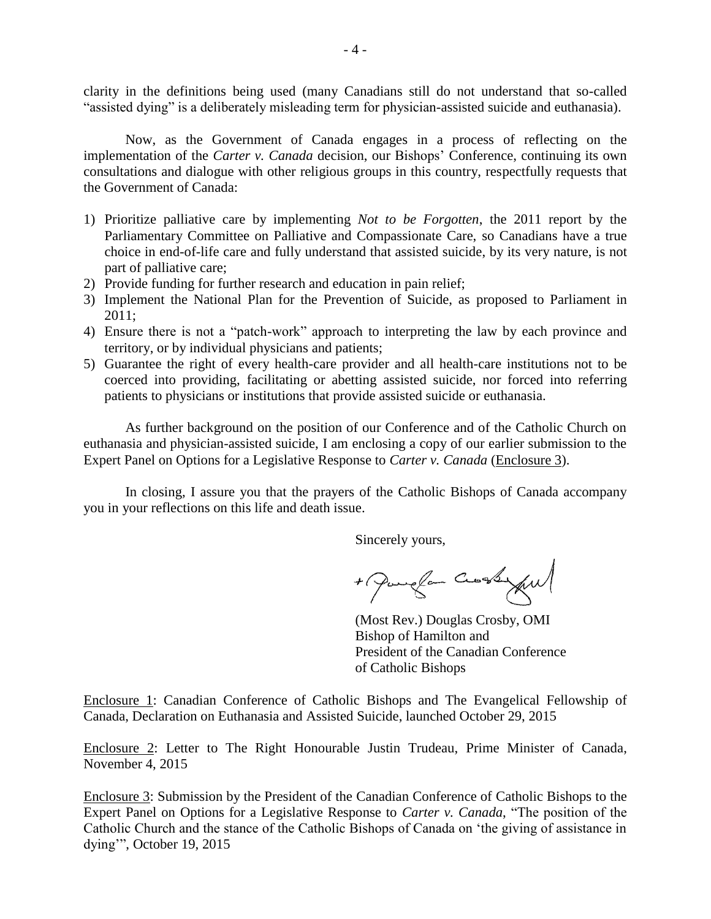clarity in the definitions being used (many Canadians still do not understand that so-called "assisted dying" is a deliberately misleading term for physician-assisted suicide and euthanasia).

Now, as the Government of Canada engages in a process of reflecting on the implementation of the *Carter v. Canada* decision, our Bishops' Conference, continuing its own consultations and dialogue with other religious groups in this country, respectfully requests that the Government of Canada:

- 1) Prioritize palliative care by implementing *Not to be Forgotten*, the 2011 report by the Parliamentary Committee on Palliative and Compassionate Care, so Canadians have a true choice in end-of-life care and fully understand that assisted suicide, by its very nature, is not part of palliative care;
- 2) Provide funding for further research and education in pain relief;
- 3) Implement the National Plan for the Prevention of Suicide, as proposed to Parliament in 2011;
- 4) Ensure there is not a "patch-work" approach to interpreting the law by each province and territory, or by individual physicians and patients;
- 5) Guarantee the right of every health-care provider and all health-care institutions not to be coerced into providing, facilitating or abetting assisted suicide, nor forced into referring patients to physicians or institutions that provide assisted suicide or euthanasia.

As further background on the position of our Conference and of the Catholic Church on euthanasia and physician-assisted suicide, I am enclosing a copy of our earlier submission to the Expert Panel on Options for a Legislative Response to *Carter v. Canada* (Enclosure 3).

In closing, I assure you that the prayers of the Catholic Bishops of Canada accompany you in your reflections on this life and death issue.

Sincerely yours,

+ Pamplan Crossylv

(Most Rev.) Douglas Crosby, OMI Bishop of Hamilton and President of the Canadian Conference of Catholic Bishops

Enclosure 1: Canadian Conference of Catholic Bishops and The Evangelical Fellowship of Canada, Declaration on Euthanasia and Assisted Suicide, launched October 29, 2015

Enclosure 2: Letter to The Right Honourable Justin Trudeau, Prime Minister of Canada, November 4, 2015

Enclosure 3: Submission by the President of the Canadian Conference of Catholic Bishops to the Expert Panel on Options for a Legislative Response to *Carter v. Canada*, "The position of the Catholic Church and the stance of the Catholic Bishops of Canada on 'the giving of assistance in dying'", October 19, 2015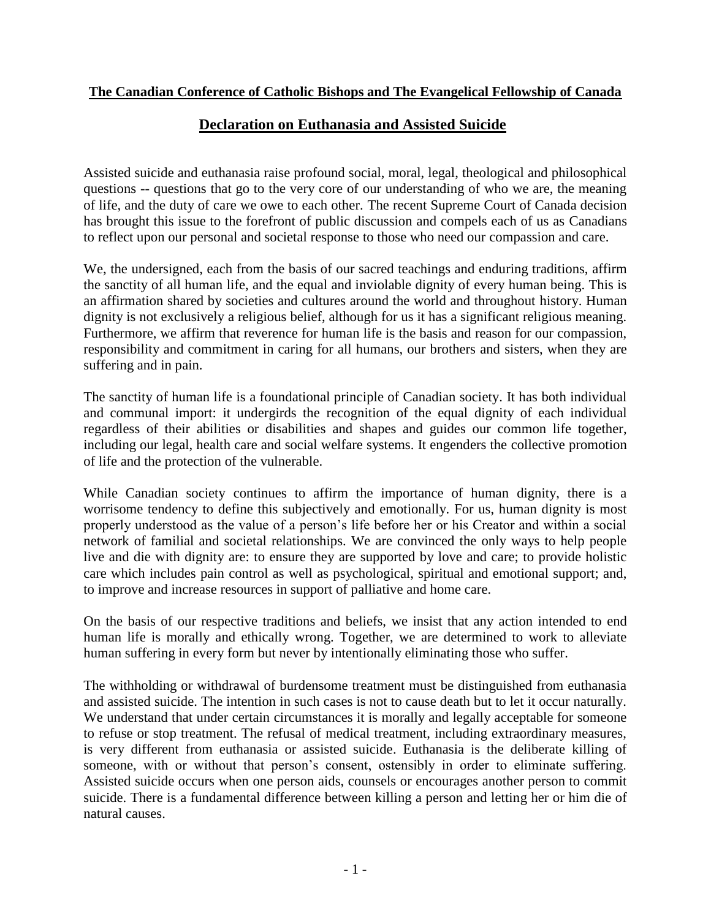### **The Canadian Conference of Catholic Bishops and The Evangelical Fellowship of Canada**

### **Declaration on Euthanasia and Assisted Suicide**

Assisted suicide and euthanasia raise profound social, moral, legal, theological and philosophical questions -- questions that go to the very core of our understanding of who we are, the meaning of life, and the duty of care we owe to each other. The recent Supreme Court of Canada decision has brought this issue to the forefront of public discussion and compels each of us as Canadians to reflect upon our personal and societal response to those who need our compassion and care.

We, the undersigned, each from the basis of our sacred teachings and enduring traditions, affirm the sanctity of all human life, and the equal and inviolable dignity of every human being. This is an affirmation shared by societies and cultures around the world and throughout history. Human dignity is not exclusively a religious belief, although for us it has a significant religious meaning. Furthermore, we affirm that reverence for human life is the basis and reason for our compassion, responsibility and commitment in caring for all humans, our brothers and sisters, when they are suffering and in pain.

The sanctity of human life is a foundational principle of Canadian society. It has both individual and communal import: it undergirds the recognition of the equal dignity of each individual regardless of their abilities or disabilities and shapes and guides our common life together, including our legal, health care and social welfare systems. It engenders the collective promotion of life and the protection of the vulnerable.

While Canadian society continues to affirm the importance of human dignity, there is a worrisome tendency to define this subjectively and emotionally. For us, human dignity is most properly understood as the value of a person's life before her or his Creator and within a social network of familial and societal relationships. We are convinced the only ways to help people live and die with dignity are: to ensure they are supported by love and care; to provide holistic care which includes pain control as well as psychological, spiritual and emotional support; and, to improve and increase resources in support of palliative and home care.

On the basis of our respective traditions and beliefs, we insist that any action intended to end human life is morally and ethically wrong. Together, we are determined to work to alleviate human suffering in every form but never by intentionally eliminating those who suffer.

The withholding or withdrawal of burdensome treatment must be distinguished from euthanasia and assisted suicide. The intention in such cases is not to cause death but to let it occur naturally. We understand that under certain circumstances it is morally and legally acceptable for someone to refuse or stop treatment. The refusal of medical treatment, including extraordinary measures, is very different from euthanasia or assisted suicide. Euthanasia is the deliberate killing of someone, with or without that person's consent, ostensibly in order to eliminate suffering. Assisted suicide occurs when one person aids, counsels or encourages another person to commit suicide. There is a fundamental difference between killing a person and letting her or him die of natural causes.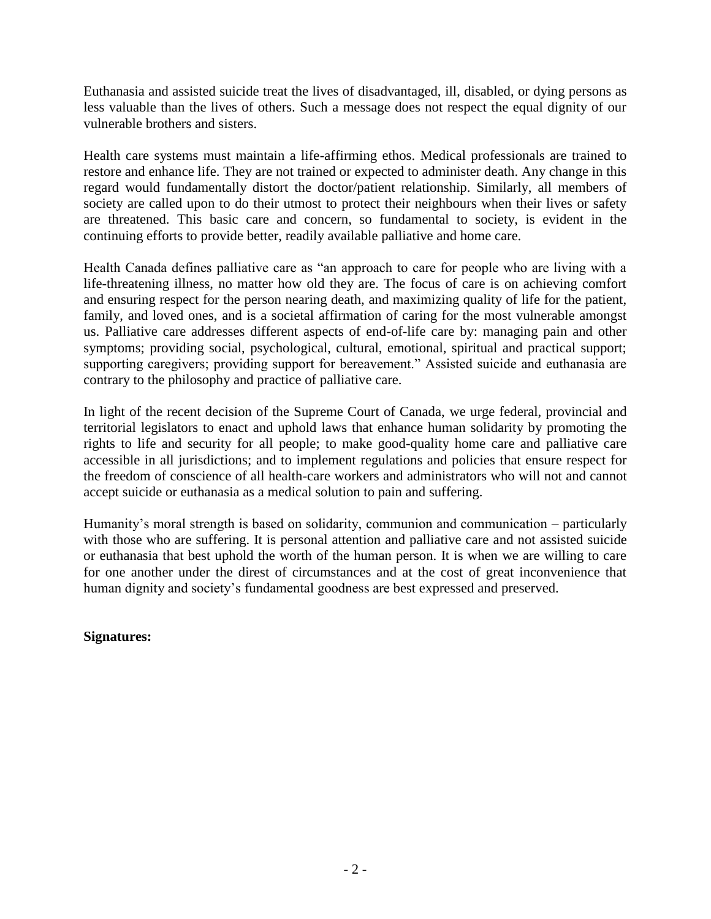Euthanasia and assisted suicide treat the lives of disadvantaged, ill, disabled, or dying persons as less valuable than the lives of others. Such a message does not respect the equal dignity of our vulnerable brothers and sisters.

Health care systems must maintain a life-affirming ethos. Medical professionals are trained to restore and enhance life. They are not trained or expected to administer death. Any change in this regard would fundamentally distort the doctor/patient relationship. Similarly, all members of society are called upon to do their utmost to protect their neighbours when their lives or safety are threatened. This basic care and concern, so fundamental to society, is evident in the continuing efforts to provide better, readily available palliative and home care.

Health Canada defines palliative care as "an approach to care for people who are living with a life-threatening illness, no matter how old they are. The focus of care is on achieving comfort and ensuring respect for the person nearing death, and maximizing quality of life for the patient, family, and loved ones, and is a societal affirmation of caring for the most vulnerable amongst us. Palliative care addresses different aspects of end-of-life care by: managing pain and other symptoms; providing social, psychological, cultural, emotional, spiritual and practical support; supporting caregivers; providing support for bereavement." Assisted suicide and euthanasia are contrary to the philosophy and practice of palliative care.

In light of the recent decision of the Supreme Court of Canada, we urge federal, provincial and territorial legislators to enact and uphold laws that enhance human solidarity by promoting the rights to life and security for all people; to make good-quality home care and palliative care accessible in all jurisdictions; and to implement regulations and policies that ensure respect for the freedom of conscience of all health-care workers and administrators who will not and cannot accept suicide or euthanasia as a medical solution to pain and suffering.

Humanity's moral strength is based on solidarity, communion and communication – particularly with those who are suffering. It is personal attention and palliative care and not assisted suicide or euthanasia that best uphold the worth of the human person. It is when we are willing to care for one another under the direst of circumstances and at the cost of great inconvenience that human dignity and society's fundamental goodness are best expressed and preserved.

### **Signatures:**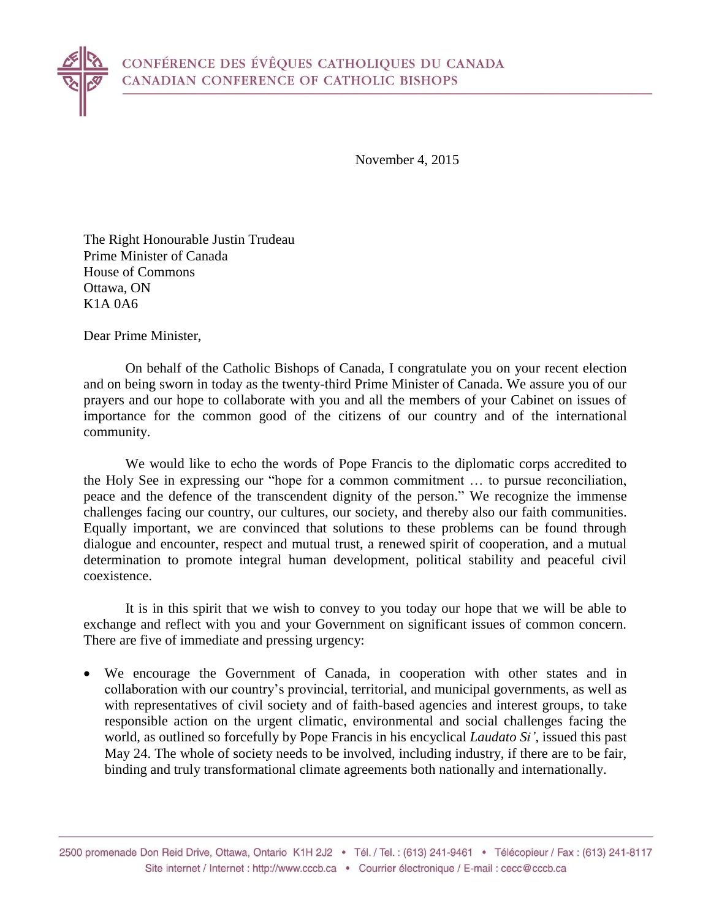November 4, 2015

The Right Honourable Justin Trudeau Prime Minister of Canada House of Commons Ottawa, ON K1A 0A6

Dear Prime Minister,

On behalf of the Catholic Bishops of Canada, I congratulate you on your recent election and on being sworn in today as the twenty-third Prime Minister of Canada. We assure you of our prayers and our hope to collaborate with you and all the members of your Cabinet on issues of importance for the common good of the citizens of our country and of the international community.

We would like to echo the words of Pope Francis to the diplomatic corps accredited to the Holy See in expressing our "hope for a common commitment … to pursue reconciliation, peace and the defence of the transcendent dignity of the person." We recognize the immense challenges facing our country, our cultures, our society, and thereby also our faith communities. Equally important, we are convinced that solutions to these problems can be found through dialogue and encounter, respect and mutual trust, a renewed spirit of cooperation, and a mutual determination to promote integral human development, political stability and peaceful civil coexistence.

It is in this spirit that we wish to convey to you today our hope that we will be able to exchange and reflect with you and your Government on significant issues of common concern. There are five of immediate and pressing urgency:

 We encourage the Government of Canada, in cooperation with other states and in collaboration with our country's provincial, territorial, and municipal governments, as well as with representatives of civil society and of faith-based agencies and interest groups, to take responsible action on the urgent climatic, environmental and social challenges facing the world, as outlined so forcefully by Pope Francis in his encyclical *Laudato Si'*, issued this past May 24. The whole of society needs to be involved, including industry, if there are to be fair, binding and truly transformational climate agreements both nationally and internationally.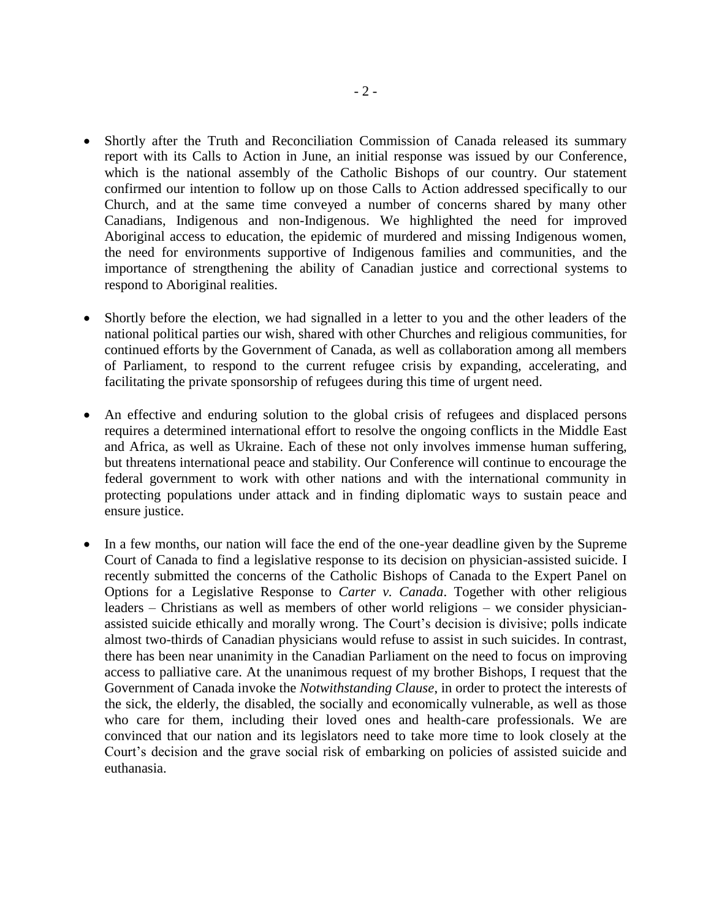- Shortly after the Truth and Reconciliation Commission of Canada released its summary report with its Calls to Action in June, an initial response was issued by our Conference, which is the national assembly of the Catholic Bishops of our country. Our statement confirmed our intention to follow up on those Calls to Action addressed specifically to our Church, and at the same time conveyed a number of concerns shared by many other Canadians, Indigenous and non-Indigenous. We highlighted the need for improved Aboriginal access to education, the epidemic of murdered and missing Indigenous women, the need for environments supportive of Indigenous families and communities, and the importance of strengthening the ability of Canadian justice and correctional systems to respond to Aboriginal realities.
- Shortly before the election, we had signalled in a letter to you and the other leaders of the national political parties our wish, shared with other Churches and religious communities, for continued efforts by the Government of Canada, as well as collaboration among all members of Parliament, to respond to the current refugee crisis by expanding, accelerating, and facilitating the private sponsorship of refugees during this time of urgent need.
- An effective and enduring solution to the global crisis of refugees and displaced persons requires a determined international effort to resolve the ongoing conflicts in the Middle East and Africa, as well as Ukraine. Each of these not only involves immense human suffering, but threatens international peace and stability. Our Conference will continue to encourage the federal government to work with other nations and with the international community in protecting populations under attack and in finding diplomatic ways to sustain peace and ensure justice.
- In a few months, our nation will face the end of the one-year deadline given by the Supreme Court of Canada to find a legislative response to its decision on physician-assisted suicide. I recently submitted the concerns of the Catholic Bishops of Canada to the Expert Panel on Options for a Legislative Response to *Carter v. Canada*. Together with other religious leaders – Christians as well as members of other world religions – we consider physicianassisted suicide ethically and morally wrong. The Court's decision is divisive; polls indicate almost two-thirds of Canadian physicians would refuse to assist in such suicides. In contrast, there has been near unanimity in the Canadian Parliament on the need to focus on improving access to palliative care. At the unanimous request of my brother Bishops, I request that the Government of Canada invoke the *Notwithstanding Clause*, in order to protect the interests of the sick, the elderly, the disabled, the socially and economically vulnerable, as well as those who care for them, including their loved ones and health-care professionals. We are convinced that our nation and its legislators need to take more time to look closely at the Court's decision and the grave social risk of embarking on policies of assisted suicide and euthanasia.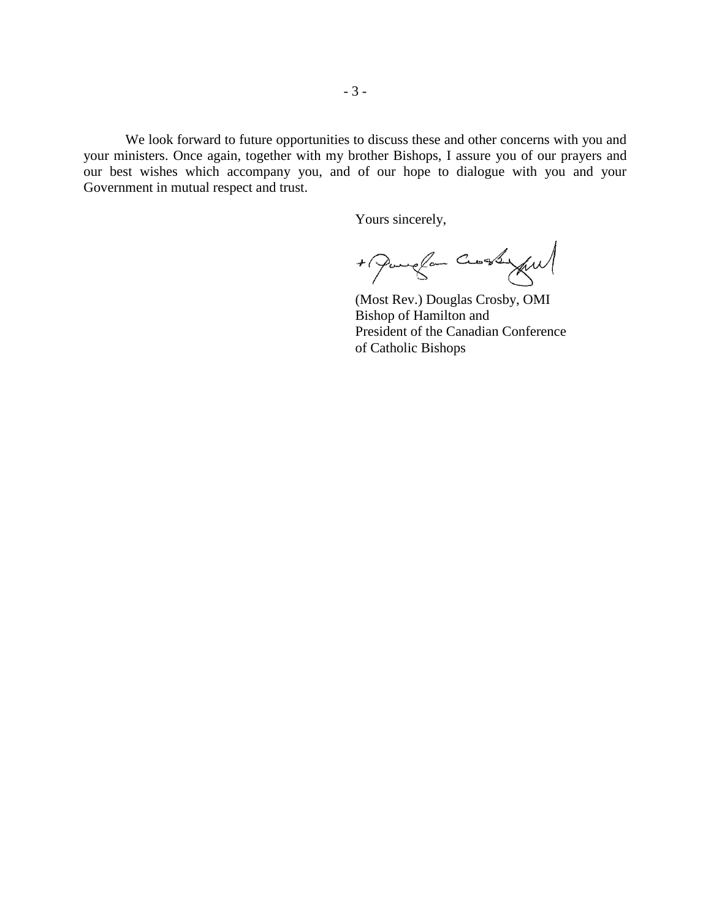We look forward to future opportunities to discuss these and other concerns with you and your ministers. Once again, together with my brother Bishops, I assure you of our prayers and our best wishes which accompany you, and of our hope to dialogue with you and your Government in mutual respect and trust.

Yours sincerely,

+ Parece Cross ful

(Most Rev.) Douglas Crosby, OMI Bishop of Hamilton and President of the Canadian Conference of Catholic Bishops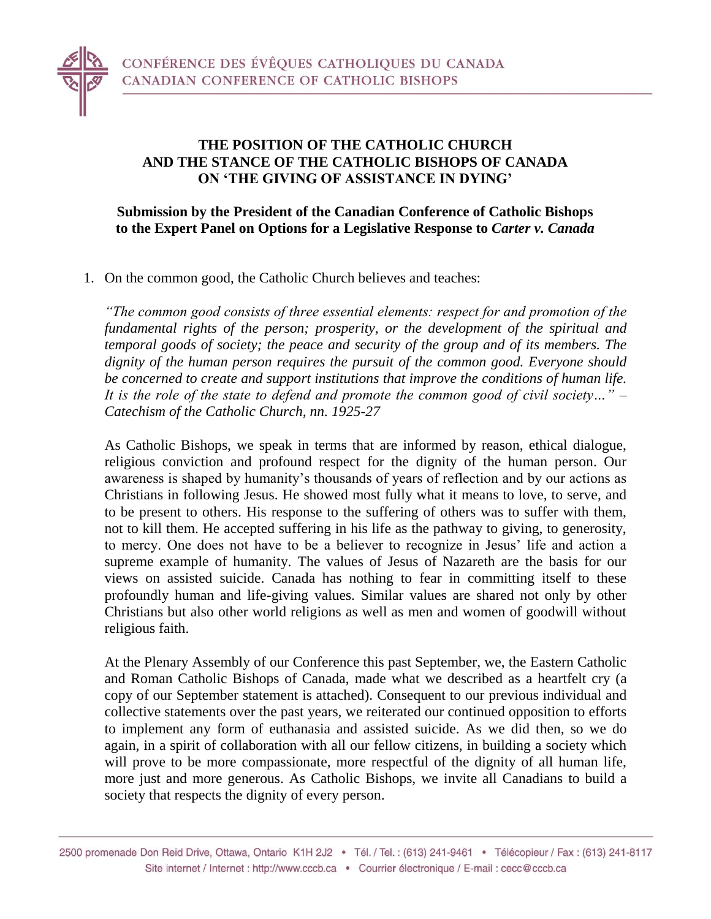

# **THE POSITION OF THE CATHOLIC CHURCH AND THE STANCE OF THE CATHOLIC BISHOPS OF CANADA ON 'THE GIVING OF ASSISTANCE IN DYING'**

# **Submission by the President of the Canadian Conference of Catholic Bishops to the Expert Panel on Options for a Legislative Response to** *Carter v. Canada*

1. On the common good, the Catholic Church believes and teaches:

*"The common good consists of three essential elements: respect for and promotion of the fundamental rights of the person; prosperity, or the development of the spiritual and temporal goods of society; the peace and security of the group and of its members. The dignity of the human person requires the pursuit of the common good. Everyone should be concerned to create and support institutions that improve the conditions of human life. It is the role of the state to defend and promote the common good of civil society…" – Catechism of the Catholic Church, nn. 1925-27*

As Catholic Bishops, we speak in terms that are informed by reason, ethical dialogue, religious conviction and profound respect for the dignity of the human person. Our awareness is shaped by humanity's thousands of years of reflection and by our actions as Christians in following Jesus. He showed most fully what it means to love, to serve, and to be present to others. His response to the suffering of others was to suffer with them, not to kill them. He accepted suffering in his life as the pathway to giving, to generosity, to mercy. One does not have to be a believer to recognize in Jesus' life and action a supreme example of humanity. The values of Jesus of Nazareth are the basis for our views on assisted suicide. Canada has nothing to fear in committing itself to these profoundly human and life-giving values. Similar values are shared not only by other Christians but also other world religions as well as men and women of goodwill without religious faith.

At the Plenary Assembly of our Conference this past September, we, the Eastern Catholic and Roman Catholic Bishops of Canada, made what we described as a heartfelt cry (a copy of our September statement is attached). Consequent to our previous individual and collective statements over the past years, we reiterated our continued opposition to efforts to implement any form of euthanasia and assisted suicide. As we did then, so we do again, in a spirit of collaboration with all our fellow citizens, in building a society which will prove to be more compassionate, more respectful of the dignity of all human life, more just and more generous. As Catholic Bishops, we invite all Canadians to build a society that respects the dignity of every person.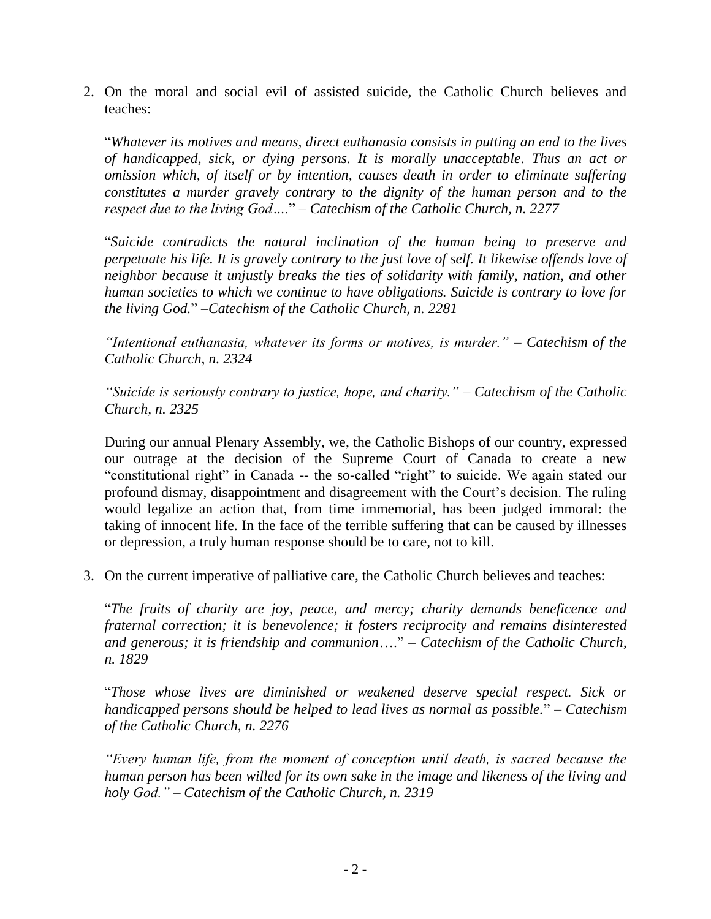2. On the moral and social evil of assisted suicide, the Catholic Church believes and teaches:

"*Whatever its motives and means, direct euthanasia consists in putting an end to the lives of handicapped, sick, or dying persons. It is morally unacceptable*. *Thus an act or omission which, of itself or by intention, causes death in order to eliminate suffering constitutes a murder gravely contrary to the dignity of the human person and to the respect due to the living God….*" – *Catechism of the Catholic Church, n. 2277*

"*Suicide contradicts the natural inclination of the human being to preserve and perpetuate his life. It is gravely contrary to the just love of self. It likewise offends love of neighbor because it unjustly breaks the ties of solidarity with family, nation, and other human societies to which we continue to have obligations. Suicide is contrary to love for the living God.*" –*Catechism of the Catholic Church, n. 2281*

*"Intentional euthanasia, whatever its forms or motives, is murder."* – *Catechism of the Catholic Church, n. 2324*

*"Suicide is seriously contrary to justice, hope, and charity."* – *Catechism of the Catholic Church, n. 2325*

During our annual Plenary Assembly, we, the Catholic Bishops of our country, expressed our outrage at the decision of the Supreme Court of Canada to create a new "constitutional right" in Canada -- the so-called "right" to suicide. We again stated our profound dismay, disappointment and disagreement with the Court's decision. The ruling would legalize an action that, from time immemorial, has been judged immoral: the taking of innocent life. In the face of the terrible suffering that can be caused by illnesses or depression, a truly human response should be to care, not to kill.

3. On the current imperative of palliative care, the Catholic Church believes and teaches:

"*The fruits of charity are joy, peace, and mercy; charity demands beneficence and fraternal correction; it is benevolence; it fosters reciprocity and remains disinterested and generous; it is friendship and communion*…." – *Catechism of the Catholic Church, n. 1829*

"*Those whose lives are diminished or weakened deserve special respect. Sick or handicapped persons should be helped to lead lives as normal as possible.*" – *Catechism of the Catholic Church, n. 2276*

*"Every human life, from the moment of conception until death, is sacred because the human person has been willed for its own sake in the image and likeness of the living and holy God."* – *Catechism of the Catholic Church, n. 2319*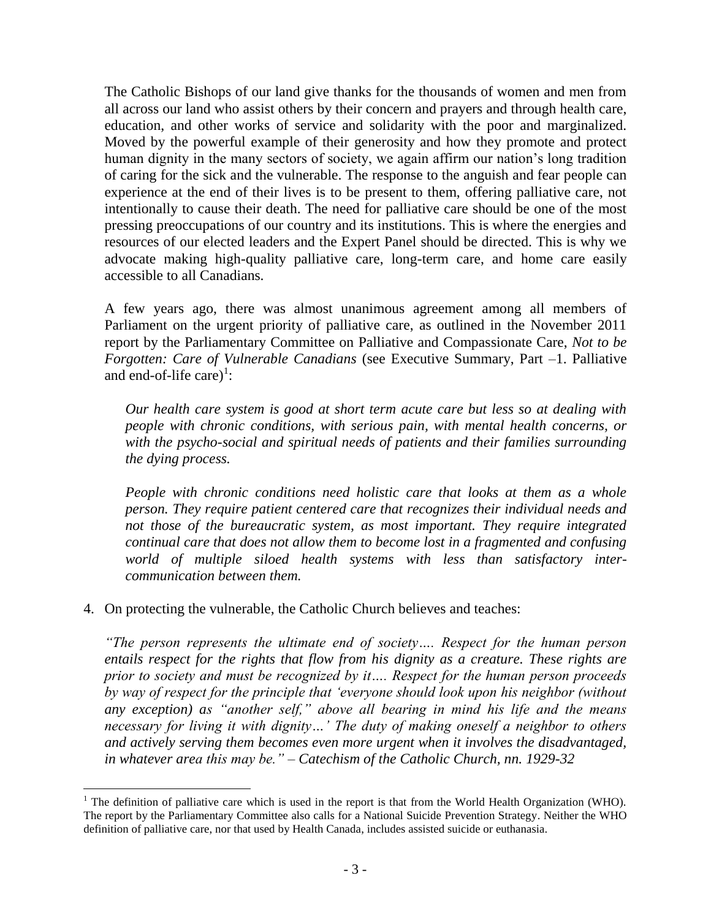The Catholic Bishops of our land give thanks for the thousands of women and men from all across our land who assist others by their concern and prayers and through health care, education, and other works of service and solidarity with the poor and marginalized. Moved by the powerful example of their generosity and how they promote and protect human dignity in the many sectors of society, we again affirm our nation's long tradition of caring for the sick and the vulnerable. The response to the anguish and fear people can experience at the end of their lives is to be present to them, offering palliative care, not intentionally to cause their death. The need for palliative care should be one of the most pressing preoccupations of our country and its institutions. This is where the energies and resources of our elected leaders and the Expert Panel should be directed. This is why we advocate making high-quality palliative care, long-term care, and home care easily accessible to all Canadians.

A few years ago, there was almost unanimous agreement among all members of Parliament on the urgent priority of palliative care, as outlined in the November 2011 report by the Parliamentary Committee on Palliative and Compassionate Care, *Not to be Forgotten: Care of Vulnerable Canadians* (see Executive Summary, Part –1. Palliative and end-of-life care)<sup>1</sup>:

*Our health care system is good at short term acute care but less so at dealing with people with chronic conditions, with serious pain, with mental health concerns, or with the psycho-social and spiritual needs of patients and their families surrounding the dying process.* 

*People with chronic conditions need holistic care that looks at them as a whole person. They require patient centered care that recognizes their individual needs and not those of the bureaucratic system, as most important. They require integrated continual care that does not allow them to become lost in a fragmented and confusing world of multiple siloed health systems with less than satisfactory intercommunication between them.* 

### 4. On protecting the vulnerable, the Catholic Church believes and teaches:

 $\overline{a}$ 

*"The person represents the ultimate end of society…. Respect for the human person entails respect for the rights that flow from his dignity as a creature. These rights are prior to society and must be recognized by it…. Respect for the human person proceeds by way of respect for the principle that 'everyone should look upon his neighbor (without any exception) as "another self," above all bearing in mind his life and the means necessary for living it with dignity…' The duty of making oneself a neighbor to others and actively serving them becomes even more urgent when it involves the disadvantaged, in whatever area this may be." – Catechism of the Catholic Church, nn. 1929-32*

<sup>&</sup>lt;sup>1</sup> The definition of palliative care which is used in the report is that from the World Health Organization (WHO). The report by the Parliamentary Committee also calls for a National Suicide Prevention Strategy. Neither the WHO definition of palliative care, nor that used by Health Canada, includes assisted suicide or euthanasia.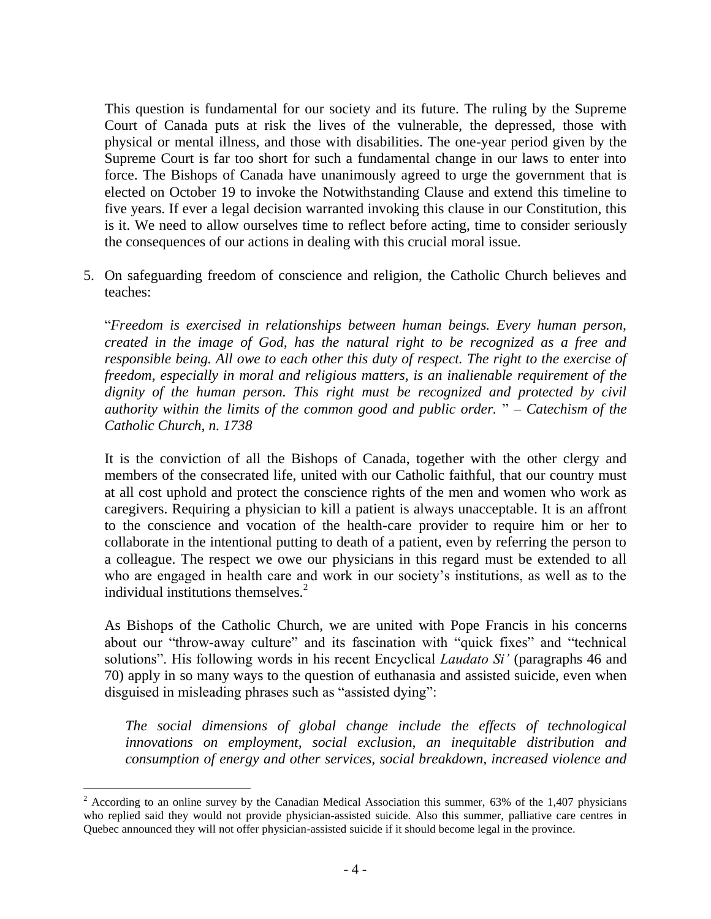This question is fundamental for our society and its future. The ruling by the Supreme Court of Canada puts at risk the lives of the vulnerable, the depressed, those with physical or mental illness, and those with disabilities. The one-year period given by the Supreme Court is far too short for such a fundamental change in our laws to enter into force. The Bishops of Canada have unanimously agreed to urge the government that is elected on October 19 to invoke the Notwithstanding Clause and extend this timeline to five years. If ever a legal decision warranted invoking this clause in our Constitution, this is it. We need to allow ourselves time to reflect before acting, time to consider seriously the consequences of our actions in dealing with this crucial moral issue.

5. On safeguarding freedom of conscience and religion, the Catholic Church believes and teaches:

"*Freedom is exercised in relationships between human beings. Every human person, created in the image of God, has the natural right to be recognized as a free and responsible being. All owe to each other this duty of respect. The right to the exercise of freedom, especially in moral and religious matters, is an inalienable requirement of the*  dignity of the human person. This right must be recognized and protected by civil *authority within the limits of the common good and public order.* " – *Catechism of the Catholic Church, n. 1738*

It is the conviction of all the Bishops of Canada, together with the other clergy and members of the consecrated life, united with our Catholic faithful, that our country must at all cost uphold and protect the conscience rights of the men and women who work as caregivers. Requiring a physician to kill a patient is always unacceptable. It is an affront to the conscience and vocation of the health-care provider to require him or her to collaborate in the intentional putting to death of a patient, even by referring the person to a colleague. The respect we owe our physicians in this regard must be extended to all who are engaged in health care and work in our society's institutions, as well as to the individual institutions themselves. $2$ 

As Bishops of the Catholic Church, we are united with Pope Francis in his concerns about our "throw-away culture" and its fascination with "quick fixes" and "technical solutions". His following words in his recent Encyclical *Laudato Si'* (paragraphs 46 and 70) apply in so many ways to the question of euthanasia and assisted suicide, even when disguised in misleading phrases such as "assisted dying":

*The social dimensions of global change include the effects of technological innovations on employment, social exclusion, an inequitable distribution and consumption of energy and other services, social breakdown, increased violence and* 

 $\overline{a}$ 

<sup>&</sup>lt;sup>2</sup> According to an online survey by the Canadian Medical Association this summer, 63% of the 1,407 physicians who replied said they would not provide physician-assisted suicide. Also this summer, palliative care centres in Quebec announced they will not offer physician-assisted suicide if it should become legal in the province.